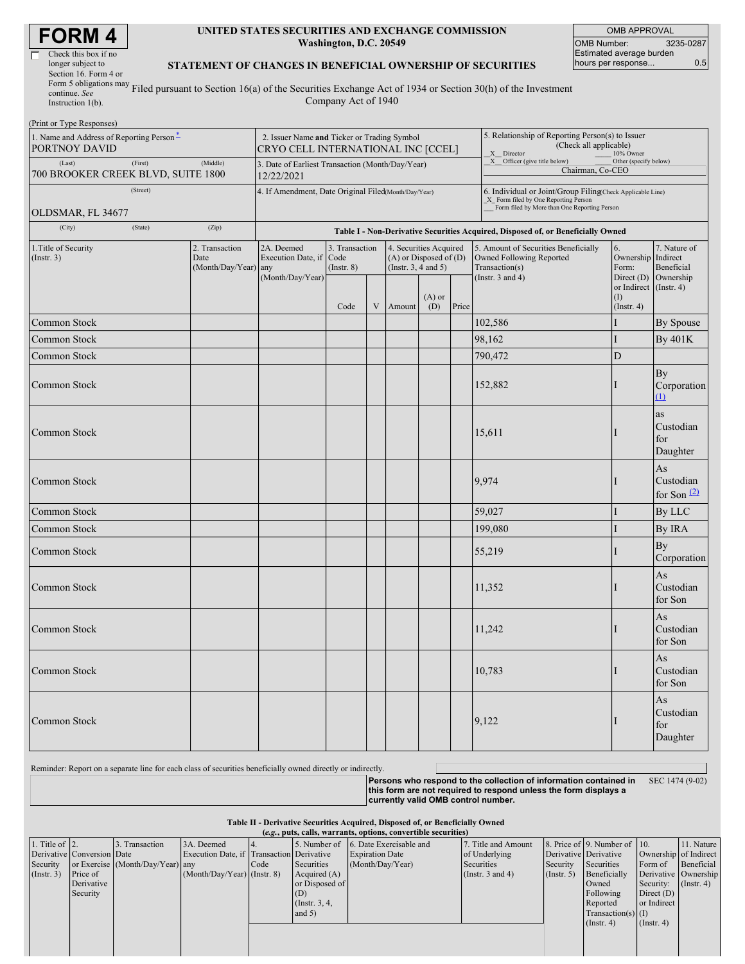| Check this box if no                 |
|--------------------------------------|
| longer subject to                    |
| Section 16. Form 4 or                |
| Form 5 obligations may $_{\text{T}}$ |
| continue. See                        |
|                                      |

#### **UNITED STATES SECURITIES AND EXCHANGE COMMISSION Washington, D.C. 20549**

OMB APPROVAL OMB Number: 3235-0287 Estimated average burden hours per response... 0.5

### **STATEMENT OF CHANGES IN BENEFICIAL OWNERSHIP OF SECURITIES**

Instruction 1(b). Filed pursuant to Section 16(a) of the Securities Exchange Act of 1934 or Section 30(h) of the Investment Company Act of 1940

| (Print or Type Responses)                                                       |                                                                                   |                  |                                                                |                                           |   |                                                                                                       |                 |                                                                                                                                                     |                                                                                                             |                                                 |                                         |
|---------------------------------------------------------------------------------|-----------------------------------------------------------------------------------|------------------|----------------------------------------------------------------|-------------------------------------------|---|-------------------------------------------------------------------------------------------------------|-----------------|-----------------------------------------------------------------------------------------------------------------------------------------------------|-------------------------------------------------------------------------------------------------------------|-------------------------------------------------|-----------------------------------------|
| 1. Name and Address of Reporting Person-<br>PORTNOY DAVID                       | 2. Issuer Name and Ticker or Trading Symbol<br>CRYO CELL INTERNATIONAL INC [CCEL] |                  |                                                                |                                           |   | 5. Relationship of Reporting Person(s) to Issuer<br>(Check all applicable)<br>X Director<br>10% Owner |                 |                                                                                                                                                     |                                                                                                             |                                                 |                                         |
| (Last)<br>(First)<br>(Middle)<br>700 BROOKER CREEK BLVD, SUITE 1800<br>(Street) |                                                                                   |                  | 3. Date of Earliest Transaction (Month/Day/Year)<br>12/22/2021 |                                           |   |                                                                                                       |                 | X Officer (give title below)<br>Other (specify below)<br>Chairman, Co-CEO                                                                           |                                                                                                             |                                                 |                                         |
|                                                                                 |                                                                                   |                  | 4. If Amendment, Date Original Filed(Month/Day/Year)           |                                           |   |                                                                                                       |                 | 6. Individual or Joint/Group Filing(Check Applicable Line)<br>X_ Form filed by One Reporting Person<br>Form filed by More than One Reporting Person |                                                                                                             |                                                 |                                         |
| OLDSMAR, FL 34677                                                               |                                                                                   |                  |                                                                |                                           |   |                                                                                                       |                 |                                                                                                                                                     |                                                                                                             |                                                 |                                         |
| (City)                                                                          | (State)                                                                           | (Zip)            |                                                                |                                           |   |                                                                                                       |                 |                                                                                                                                                     | Table I - Non-Derivative Securities Acquired, Disposed of, or Beneficially Owned                            |                                                 |                                         |
| 1. Title of Security<br>2. Transaction<br>$($ Instr. 3 $)$<br>Date              |                                                                                   | (Month/Day/Year) | 2A. Deemed<br>Execution Date, if<br>any<br>(Month/Day/Year)    | 3. Transaction<br>Code<br>$($ Instr. $8)$ |   | 4. Securities Acquired<br>$(A)$ or Disposed of $(D)$<br>(Instr. $3, 4$ and $5$ )                      |                 |                                                                                                                                                     | 5. Amount of Securities Beneficially<br>Owned Following Reported<br>Transaction(s)<br>(Instr. $3$ and $4$ ) | 6.<br>Ownership Indirect<br>Form:<br>Direct (D) | 7. Nature of<br>Beneficial<br>Ownership |
|                                                                                 |                                                                                   |                  |                                                                | Code                                      | V | Amount                                                                                                | $(A)$ or<br>(D) | Price                                                                                                                                               |                                                                                                             | or Indirect<br>(1)<br>(Insert. 4)               | $($ Instr. 4 $)$                        |
| Common Stock                                                                    |                                                                                   |                  |                                                                |                                           |   |                                                                                                       |                 |                                                                                                                                                     | 102,586                                                                                                     | T                                               | By Spouse                               |
| Common Stock                                                                    |                                                                                   |                  |                                                                |                                           |   |                                                                                                       |                 |                                                                                                                                                     | 98,162                                                                                                      |                                                 | By 401K                                 |
| Common Stock                                                                    |                                                                                   |                  |                                                                |                                           |   |                                                                                                       |                 |                                                                                                                                                     | 790,472                                                                                                     | $\mathbf D$                                     |                                         |
| Common Stock                                                                    |                                                                                   |                  |                                                                |                                           |   |                                                                                                       |                 |                                                                                                                                                     | 152,882                                                                                                     |                                                 | By<br>Corporation<br>$\Omega$           |
| Common Stock                                                                    |                                                                                   |                  |                                                                |                                           |   |                                                                                                       |                 |                                                                                                                                                     | 15,611                                                                                                      |                                                 | as<br>Custodian<br>for<br>Daughter      |
| Common Stock                                                                    |                                                                                   |                  |                                                                |                                           |   |                                                                                                       |                 |                                                                                                                                                     | 9,974                                                                                                       |                                                 | As<br>Custodian<br>for Son $(2)$        |
| Common Stock                                                                    |                                                                                   |                  |                                                                |                                           |   |                                                                                                       |                 |                                                                                                                                                     | 59,027                                                                                                      |                                                 | By LLC                                  |
| Common Stock                                                                    |                                                                                   |                  |                                                                |                                           |   |                                                                                                       |                 |                                                                                                                                                     | 199,080                                                                                                     | I                                               | By IRA                                  |
| Common Stock                                                                    |                                                                                   |                  |                                                                |                                           |   |                                                                                                       |                 |                                                                                                                                                     | 55,219                                                                                                      |                                                 | By<br>Corporation                       |
| Common Stock                                                                    |                                                                                   |                  |                                                                |                                           |   |                                                                                                       |                 |                                                                                                                                                     | 11,352                                                                                                      |                                                 | As<br>Custodian<br>for Son              |
| Common Stock                                                                    |                                                                                   |                  |                                                                |                                           |   |                                                                                                       |                 |                                                                                                                                                     | 11,242                                                                                                      |                                                 | As<br>Custodian<br>for Son              |
| Common Stock                                                                    |                                                                                   |                  |                                                                |                                           |   |                                                                                                       |                 |                                                                                                                                                     | 10,783                                                                                                      |                                                 | As<br>Custodian<br>for Son              |
| Common Stock                                                                    |                                                                                   |                  |                                                                |                                           |   |                                                                                                       |                 |                                                                                                                                                     | 9,122                                                                                                       |                                                 | As<br>Custodian<br>for<br>Daughter      |

Reminder: Report on a separate line for each class of securities beneficially owned directly or indirectly.

**Persons who respond to the collection of information contained in this form are not required to respond unless the form displays a currently valid OMB control number.**

SEC 1474 (9-02)

**Table II - Derivative Securities Acquired, Disposed of, or Beneficially Owned**

|                        | (e.g., puts, calls, warrants, options, convertible securities) |                                  |                                           |      |                 |                                      |                       |                       |                              |                               |                       |
|------------------------|----------------------------------------------------------------|----------------------------------|-------------------------------------------|------|-----------------|--------------------------------------|-----------------------|-----------------------|------------------------------|-------------------------------|-----------------------|
| 1. Title of $\vert$ 2. |                                                                | 3. Transaction                   | 3A. Deemed                                |      |                 | 5. Number of 6. Date Exercisable and | 7. Title and Amount   |                       | 8. Price of 9. Number of 10. |                               | 11. Nature            |
|                        | Derivative Conversion Date                                     |                                  | Execution Date, if Transaction Derivative |      |                 | <b>Expiration Date</b>               | of Underlying         | Derivative Derivative |                              |                               | Ownership of Indirect |
| Security               |                                                                | or Exercise (Month/Day/Year) any |                                           | Code | Securities      | (Month/Day/Year)                     | Securities            | Security              | Securities                   | Form of                       | Beneficial            |
| (Insert. 3)            | Price of                                                       |                                  | $(Month/Day/Year)$ (Instr. 8)             |      | Acquired $(A)$  |                                      | (Instr. $3$ and $4$ ) | $($ Instr. 5 $)$      | Beneficially                 |                               | Derivative Ownership  |
|                        | Derivative                                                     |                                  |                                           |      | or Disposed of  |                                      |                       |                       | Owned                        | Security: $(\text{Instr. 4})$ |                       |
|                        | Security                                                       |                                  |                                           |      | (D)             |                                      |                       |                       | Following                    | Direct $(D)$                  |                       |
|                        |                                                                |                                  |                                           |      | (Instr. $3, 4,$ |                                      |                       |                       | Reported                     | or Indirect                   |                       |
|                        |                                                                |                                  |                                           |      | and $5)$        |                                      |                       |                       | $Transaction(s)$ (I)         |                               |                       |
|                        |                                                                |                                  |                                           |      |                 |                                      |                       |                       | (Insert. 4)                  | $($ Instr. 4 $)$              |                       |
|                        |                                                                |                                  |                                           |      |                 |                                      |                       |                       |                              |                               |                       |
|                        |                                                                |                                  |                                           |      |                 |                                      |                       |                       |                              |                               |                       |